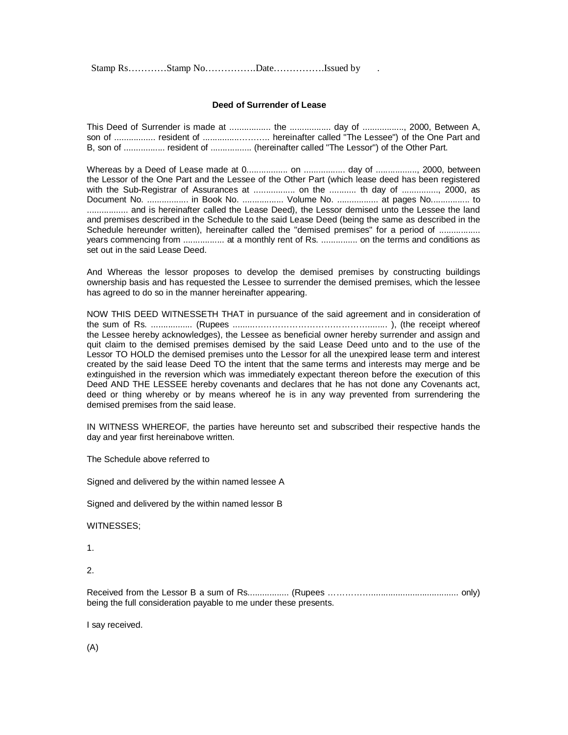Stamp Rs…………Stamp No………………Date………………Issued by

## **Deed of Surrender of Lease**

| son of  resident of  hereinafter called "The Lessee") of the One Part and    |  |  |
|------------------------------------------------------------------------------|--|--|
| B, son of  resident of  (hereinafter called "The Lessor") of the Other Part. |  |  |

Whereas by a Deed of Lease made at 0................. on ................. day of ................., 2000, between the Lessor of the One Part and the Lessee of the Other Part (which lease deed has been registered with the Sub-Registrar of Assurances at .................... on the ............ th day of ..............., 2000, as Document No. ................. in Book No. ................. Volume No. ................. at pages No................ to ................. and is hereinafter called the Lease Deed), the Lessor demised unto the Lessee the land and premises described in the Schedule to the said Lease Deed (being the same as described in the Schedule hereunder written), hereinafter called the "demised premises" for a period of ................. years commencing from ................. at a monthly rent of Rs. ............... on the terms and conditions as set out in the said Lease Deed.

And Whereas the lessor proposes to develop the demised premises by constructing buildings ownership basis and has requested the Lessee to surrender the demised premises, which the lessee has agreed to do so in the manner hereinafter appearing.

NOW THIS DEED WITNESSETH THAT in pursuance of the said agreement and in consideration of the sum of Rs. ................. (Rupees .........…………………………………........ ), (the receipt whereof the Lessee hereby acknowledges), the Lessee as beneficial owner hereby surrender and assign and quit claim to the demised premises demised by the said Lease Deed unto and to the use of the Lessor TO HOLD the demised premises unto the Lessor for all the unexpired lease term and interest created by the said lease Deed TO the intent that the same terms and interests may merge and be extinguished in the reversion which was immediately expectant thereon before the execution of this Deed AND THE LESSEE hereby covenants and declares that he has not done any Covenants act, deed or thing whereby or by means whereof he is in any way prevented from surrendering the demised premises from the said lease.

IN WITNESS WHEREOF, the parties have hereunto set and subscribed their respective hands the day and year first hereinabove written.

The Schedule above referred to

Signed and delivered by the within named lessee A

Signed and delivered by the within named lessor B

WITNESSES;

1.

 $\mathcal{P}$ 

Received from the Lessor B a sum of Rs................. (Rupees …………….................................... only) being the full consideration payable to me under these presents.

I say received.

(A)